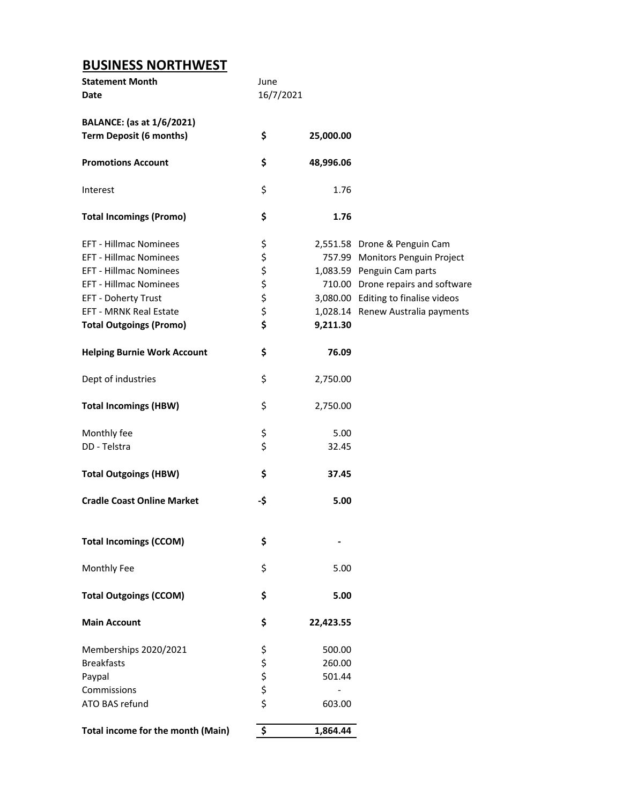## **BUSINESS NORTHWEST**

| <b>Statement Month</b><br><b>Date</b> | June<br>16/7/2021 |           |                                     |
|---------------------------------------|-------------------|-----------|-------------------------------------|
|                                       |                   |           |                                     |
| <b>BALANCE:</b> (as at 1/6/2021)      |                   |           |                                     |
| <b>Term Deposit (6 months)</b>        | \$                | 25,000.00 |                                     |
| <b>Promotions Account</b>             | \$                | 48,996.06 |                                     |
| Interest                              | \$                | 1.76      |                                     |
| <b>Total Incomings (Promo)</b>        | \$                | 1.76      |                                     |
| <b>EFT - Hillmac Nominees</b>         | \$                |           | 2,551.58 Drone & Penguin Cam        |
| <b>EFT - Hillmac Nominees</b>         | \$                |           | 757.99 Monitors Penguin Project     |
| <b>EFT - Hillmac Nominees</b>         | \$                |           | 1,083.59 Penguin Cam parts          |
| <b>EFT - Hillmac Nominees</b>         | \$                |           | 710.00 Drone repairs and software   |
| EFT - Doherty Trust                   | \$                |           | 3,080.00 Editing to finalise videos |
| <b>EFT - MRNK Real Estate</b>         |                   |           | 1,028.14 Renew Australia payments   |
| <b>Total Outgoings (Promo)</b>        | \$<br>\$          | 9,211.30  |                                     |
| <b>Helping Burnie Work Account</b>    | \$                | 76.09     |                                     |
| Dept of industries                    | \$                | 2,750.00  |                                     |
| <b>Total Incomings (HBW)</b>          | \$                | 2,750.00  |                                     |
| Monthly fee                           |                   | 5.00      |                                     |
| DD - Telstra                          | \$<br>\$          | 32.45     |                                     |
| <b>Total Outgoings (HBW)</b>          | \$                | 37.45     |                                     |
| <b>Cradle Coast Online Market</b>     | -\$               | 5.00      |                                     |
| <b>Total Incomings (CCOM)</b>         | \$                |           |                                     |
| Monthly Fee                           | \$                | 5.00      |                                     |
|                                       |                   |           |                                     |
| <b>Total Outgoings (CCOM)</b>         | \$                | 5.00      |                                     |
| <b>Main Account</b>                   | \$                | 22,423.55 |                                     |
| Memberships 2020/2021                 | \$                | 500.00    |                                     |
| <b>Breakfasts</b>                     |                   | 260.00    |                                     |
| Paypal                                |                   | 501.44    |                                     |
| Commissions                           |                   |           |                                     |
| ATO BAS refund                        | \$\$\$\$          | 603.00    |                                     |
| Total income for the month (Main)     | \$                | 1,864.44  |                                     |
|                                       |                   |           |                                     |